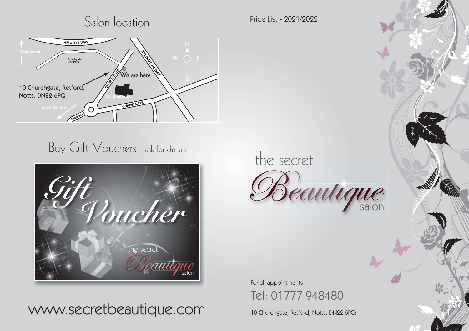